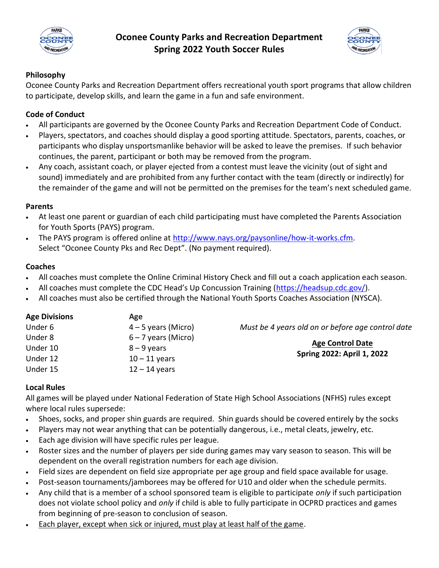



#### **Philosophy**

Oconee County Parks and Recreation Department offers recreational youth sport programs that allow children to participate, develop skills, and learn the game in a fun and safe environment.

#### **Code of Conduct**

- All participants are governed by the Oconee County Parks and Recreation Department Code of Conduct.
- Players, spectators, and coaches should display a good sporting attitude. Spectators, parents, coaches, or participants who display unsportsmanlike behavior will be asked to leave the premises. If such behavior continues, the parent, participant or both may be removed from the program.
- Any coach, assistant coach, or player ejected from a contest must leave the vicinity (out of sight and sound) immediately and are prohibited from any further contact with the team (directly or indirectly) for the remainder of the game and will not be permitted on the premises for the team's next scheduled game.

#### **Parents**

- At least one parent or guardian of each child participating must have completed the Parents Association for Youth Sports (PAYS) program.
- The PAYS program is offered online at [http://www.nays.org/paysonline/how-it-works.cfm.](http://www.nays.org/paysonline/how-it-works.cfm) Select "Oconee County Pks and Rec Dept". (No payment required).

#### **Coaches**

- All coaches must complete the Online Criminal History Check and fill out a coach application each season.
- All coaches must complete the CDC Head's Up Concussion Training [\(https://headsup.cdc.gov/\)](https://headsup.cdc.gov/).
- All coaches must also be certified through the National Youth Sports Coaches Association (NYSCA).

| <b>Age Divisions</b> | Age                   |                                                       |  |  |
|----------------------|-----------------------|-------------------------------------------------------|--|--|
| Under 6              | $4 - 5$ years (Micro) | Must be 4 years old on or before age control date     |  |  |
| Under 8              | 6 – 7 years (Micro)   |                                                       |  |  |
| Under 10             | $8 - 9$ years         | <b>Age Control Date</b><br>Spring 2022: April 1, 2022 |  |  |
| Under 12             | $10 - 11$ years       |                                                       |  |  |
| Under 15             | $12 - 14$ years       |                                                       |  |  |

#### **Local Rules**

All games will be played under National Federation of State High School Associations (NFHS) rules except where local rules supersede:

- Shoes, socks, and proper shin guards are required. Shin guards should be covered entirely by the socks
- Players may not wear anything that can be potentially dangerous, i.e., metal cleats, jewelry, etc.
- Each age division will have specific rules per league.
- Roster sizes and the number of players per side during games may vary season to season. This will be dependent on the overall registration numbers for each age division.
- Field sizes are dependent on field size appropriate per age group and field space available for usage.
- Post-season tournaments/jamborees may be offered for U10 and older when the schedule permits.
- Any child that is a member of a school sponsored team is eligible to participate *only* if such participation does not violate school policy and *only* if child is able to fully participate in OCPRD practices and games from beginning of pre-season to conclusion of season.
- Each player, except when sick or injured, must play at least half of the game.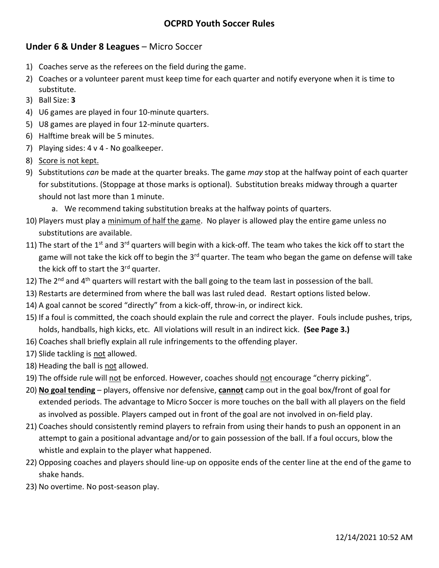# **Under 6 & Under 8 Leagues** – Micro Soccer

- 1) Coaches serve as the referees on the field during the game.
- 2) Coaches or a volunteer parent must keep time for each quarter and notify everyone when it is time to substitute.
- 3) Ball Size: **3**
- 4) U6 games are played in four 10-minute quarters.
- 5) U8 games are played in four 12-minute quarters.
- 6) Halftime break will be 5 minutes.
- 7) Playing sides: 4 v 4 No goalkeeper.
- 8) Score is not kept.
- 9) Substitutions *can* be made at the quarter breaks. The game *may* stop at the halfway point of each quarter for substitutions. (Stoppage at those marks is optional). Substitution breaks midway through a quarter should not last more than 1 minute.
	- a. We recommend taking substitution breaks at the halfway points of quarters.
- 10) Players must play a minimum of half the game. No player is allowed play the entire game unless no substitutions are available.
- 11) The start of the 1<sup>st</sup> and 3<sup>rd</sup> quarters will begin with a kick-off. The team who takes the kick off to start the game will not take the kick off to begin the 3<sup>rd</sup> quarter. The team who began the game on defense will take the kick off to start the 3<sup>rd</sup> quarter.
- 12) The  $2^{nd}$  and  $4^{th}$  quarters will restart with the ball going to the team last in possession of the ball.
- 13) Restarts are determined from where the ball was last ruled dead. Restart options listed below.
- 14) A goal cannot be scored "directly" from a kick-off, throw-in, or indirect kick.
- 15) If a foul is committed, the coach should explain the rule and correct the player. Fouls include pushes, trips, holds, handballs, high kicks, etc. All violations will result in an indirect kick. **(See Page 3.)**
- 16) Coaches shall briefly explain all rule infringements to the offending player.
- 17) Slide tackling is not allowed.
- 18) Heading the ball is not allowed.
- 19) The offside rule will not be enforced. However, coaches should not encourage "cherry picking".
- 20) **No goal tending** players, offensive nor defensive, **cannot** camp out in the goal box/front of goal for extended periods. The advantage to Micro Soccer is more touches on the ball with all players on the field as involved as possible. Players camped out in front of the goal are not involved in on-field play.
- 21) Coaches should consistently remind players to refrain from using their hands to push an opponent in an attempt to gain a positional advantage and/or to gain possession of the ball. If a foul occurs, blow the whistle and explain to the player what happened.
- 22) Opposing coaches and players should line-up on opposite ends of the center line at the end of the game to shake hands.
- 23) No overtime. No post-season play.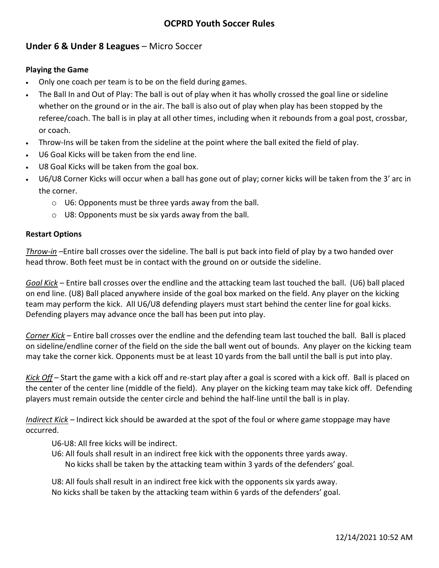### **Under 6 & Under 8 Leagues** – Micro Soccer

#### **Playing the Game**

- Only one coach per team is to be on the field during games.
- The Ball In and Out of Play: The ball is out of play when it has wholly crossed the goal line or sideline whether on the ground or in the air. The ball is also out of play when play has been stopped by the referee/coach. The ball is in play at all other times, including when it rebounds from a goal post, crossbar, or coach.
- Throw-Ins will be taken from the sideline at the point where the ball exited the field of play.
- U6 Goal Kicks will be taken from the end line.
- U8 Goal Kicks will be taken from the goal box.
- U6/U8 Corner Kicks will occur when a ball has gone out of play; corner kicks will be taken from the 3' arc in the corner.
	- $\circ$  U6: Opponents must be three yards away from the ball.
	- $\circ$  U8: Opponents must be six yards away from the ball.

#### **Restart Options**

*Throw-in* –Entire ball crosses over the sideline. The ball is put back into field of play by a two handed over head throw. Both feet must be in contact with the ground on or outside the sideline.

*Goal Kick* – Entire ball crosses over the endline and the attacking team last touched the ball. (U6) ball placed on end line. (U8) Ball placed anywhere inside of the goal box marked on the field. Any player on the kicking team may perform the kick. All U6/U8 defending players must start behind the center line for goal kicks. Defending players may advance once the ball has been put into play.

*Corner Kick* – Entire ball crosses over the endline and the defending team last touched the ball. Ball is placed on sideline/endline corner of the field on the side the ball went out of bounds. Any player on the kicking team may take the corner kick. Opponents must be at least 10 yards from the ball until the ball is put into play.

*Kick Off* – Start the game with a kick off and re-start play after a goal is scored with a kick off. Ball is placed on the center of the center line (middle of the field). Any player on the kicking team may take kick off. Defending players must remain outside the center circle and behind the half-line until the ball is in play.

*Indirect Kick* – Indirect kick should be awarded at the spot of the foul or where game stoppage may have occurred.

U6-U8: All free kicks will be indirect.

U6: All fouls shall result in an indirect free kick with the opponents three yards away. No kicks shall be taken by the attacking team within 3 yards of the defenders' goal.

U8: All fouls shall result in an indirect free kick with the opponents six yards away. No kicks shall be taken by the attacking team within 6 yards of the defenders' goal.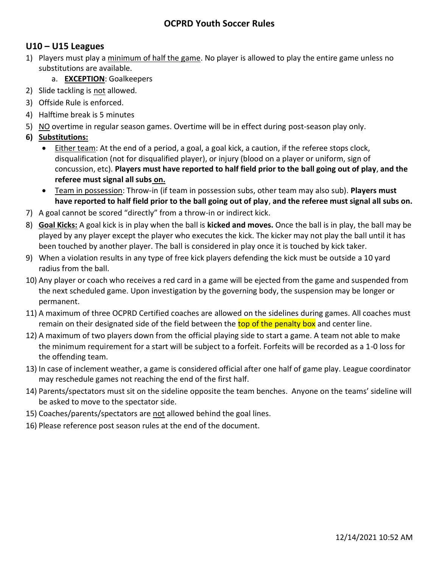#### **U10 – U15 Leagues**

- 1) Players must play a minimum of half the game. No player is allowed to play the entire game unless no substitutions are available.
	- a. **EXCEPTION**: Goalkeepers
- 2) Slide tackling is not allowed.
- 3) Offside Rule is enforced.
- 4) Halftime break is 5 minutes
- 5) NO overtime in regular season games. Overtime will be in effect during post-season play only.
- **6) Substitutions:** 
	- Either team: At the end of a period, a goal, a goal kick, a caution, if the referee stops clock, disqualification (not for disqualified player), or injury (blood on a player or uniform, sign of concussion, etc). **Players must have reported to half field prior to the ball going out of play**, **and the referee must signal all subs on.**
	- Team in possession: Throw-in (if team in possession subs, other team may also sub). **Players must have reported to half field prior to the ball going out of play**, **and the referee must signal all subs on.**
- 7) A goal cannot be scored "directly" from a throw-in or indirect kick.
- 8) **Goal Kicks:** A goal kick is in play when the ball is **kicked and moves.** Once the ball is in play, the ball may be played by any player except the player who executes the kick. The kicker may not play the ball until it has been touched by another player. The ball is considered in play once it is touched by kick taker.
- 9) When a violation results in any type of free kick players defending the kick must be outside a 10 yard radius from the ball.
- 10) Any player or coach who receives a red card in a game will be ejected from the game and suspended from the next scheduled game. Upon investigation by the governing body, the suspension may be longer or permanent.
- 11) A maximum of three OCPRD Certified coaches are allowed on the sidelines during games. All coaches must remain on their designated side of the field between the **top of the penalty box** and center line.
- 12) A maximum of two players down from the official playing side to start a game. A team not able to make the minimum requirement for a start will be subject to a forfeit. Forfeits will be recorded as a 1-0 loss for the offending team.
- 13) In case of inclement weather, a game is considered official after one half of game play. League coordinator may reschedule games not reaching the end of the first half.
- 14) Parents/spectators must sit on the sideline opposite the team benches. Anyone on the teams' sideline will be asked to move to the spectator side.
- 15) Coaches/parents/spectators are not allowed behind the goal lines.
- 16) Please reference post season rules at the end of the document.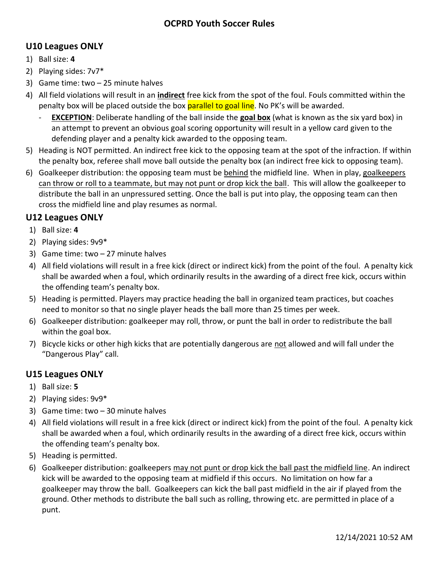# **U10 Leagues ONLY**

- 1) Ball size: **4**
- 2) Playing sides: 7v7\*
- 3) Game time: two 25 minute halves
- 4) All field violations will result in an **indirect** free kick from the spot of the foul. Fouls committed within the penalty box will be placed outside the box **parallel to goal line**. No PK's will be awarded.
	- **EXCEPTION**: Deliberate handling of the ball inside the goal box (what is known as the six yard box) in an attempt to prevent an obvious goal scoring opportunity will result in a yellow card given to the defending player and a penalty kick awarded to the opposing team.
- 5) Heading is NOT permitted. An indirect free kick to the opposing team at the spot of the infraction. If within the penalty box, referee shall move ball outside the penalty box (an indirect free kick to opposing team).
- 6) Goalkeeper distribution: the opposing team must be behind the midfield line. When in play, goalkeepers can throw or roll to a teammate, but may not punt or drop kick the ball. This will allow the goalkeeper to distribute the ball in an unpressured setting. Once the ball is put into play, the opposing team can then cross the midfield line and play resumes as normal.

# **U12 Leagues ONLY**

- 1) Ball size: **4**
- 2) Playing sides: 9v9\*
- 3) Game time: two 27 minute halves
- 4) All field violations will result in a free kick (direct or indirect kick) from the point of the foul. A penalty kick shall be awarded when a foul, which ordinarily results in the awarding of a direct free kick, occurs within the offending team's penalty box.
- 5) Heading is permitted. Players may practice heading the ball in organized team practices, but coaches need to monitor so that no single player heads the ball more than 25 times per week.
- 6) Goalkeeper distribution: goalkeeper may roll, throw, or punt the ball in order to redistribute the ball within the goal box.
- 7) Bicycle kicks or other high kicks that are potentially dangerous are not allowed and will fall under the "Dangerous Play" call.

# **U15 Leagues ONLY**

- 1) Ball size: **5**
- 2) Playing sides: 9v9\*
- 3) Game time: two 30 minute halves
- 4) All field violations will result in a free kick (direct or indirect kick) from the point of the foul. A penalty kick shall be awarded when a foul, which ordinarily results in the awarding of a direct free kick, occurs within the offending team's penalty box.
- 5) Heading is permitted.
- 6) Goalkeeper distribution: goalkeepers may not punt or drop kick the ball past the midfield line. An indirect kick will be awarded to the opposing team at midfield if this occurs. No limitation on how far a goalkeeper may throw the ball. Goalkeepers can kick the ball past midfield in the air if played from the ground. Other methods to distribute the ball such as rolling, throwing etc. are permitted in place of a punt.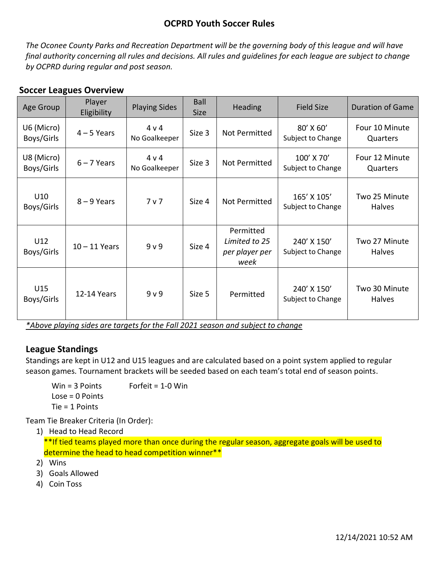*The Oconee County Parks and Recreation Department will be the governing body of this league and will have final authority concerning all rules and decisions. All rules and guidelines for each league are subject to change by OCPRD during regular and post season.* 

# **Soccer Leagues Overview**

| Age Group                | Player<br>Eligibility | <b>Playing Sides</b>   | Ball<br>Size | Heading                                              | <b>Field Size</b>                | <b>Duration of Game</b>        |
|--------------------------|-----------------------|------------------------|--------------|------------------------------------------------------|----------------------------------|--------------------------------|
| U6 (Micro)<br>Boys/Girls | $4 - 5$ Years         | 4 v 4<br>No Goalkeeper | Size 3       | <b>Not Permitted</b>                                 | 80' X 60'<br>Subject to Change   | Four 10 Minute<br>Quarters     |
| U8 (Micro)<br>Boys/Girls | $6 - 7$ Years         | 4 v 4<br>No Goalkeeper | Size 3       | Not Permitted                                        | 100' X 70'<br>Subject to Change  | Four 12 Minute<br>Quarters     |
| U10<br>Boys/Girls        | $8 - 9$ Years         | 7 <sub>v</sub>         | Size 4       | Not Permitted                                        | 165' X 105'<br>Subject to Change | Two 25 Minute<br>Halves        |
| U12<br>Boys/Girls        | $10 - 11$ Years       | 9v9                    | Size 4       | Permitted<br>Limited to 25<br>per player per<br>week | 240' X 150'<br>Subject to Change | Two 27 Minute<br>Halves        |
| U15<br>Boys/Girls        | 12-14 Years           | 9 <sub>v</sub>         | Size 5       | Permitted                                            | 240' X 150'<br>Subject to Change | Two 30 Minute<br><b>Halves</b> |

*\*Above playing sides are targets for the Fall 2021 season and subject to change*

# **League Standings**

Standings are kept in U12 and U15 leagues and are calculated based on a point system applied to regular season games. Tournament brackets will be seeded based on each team's total end of season points.

Win  $=$  3 Points Forfeit  $=$  1-0 Win  $Loss = 0$  Points Tie = 1 Points

Team Tie Breaker Criteria (In Order):

1) Head to Head Record

\*\*If tied teams played more than once during the regular season, aggregate goals will be used to determine the head to head competition winner\*\*

2) Wins

- 3) Goals Allowed
- 4) Coin Toss